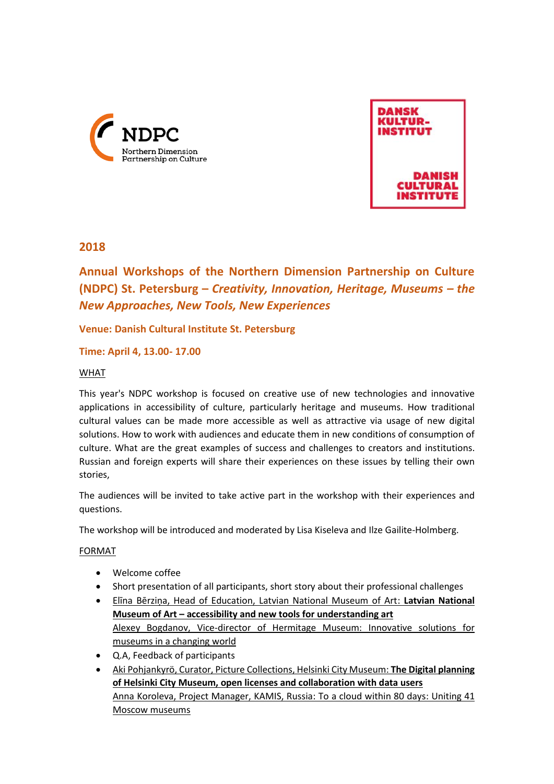



# **2018**

**Annual Workshops of the Northern Dimension Partnership on Culture (NDPC) St. Petersburg –** *Creativity, Innovation, Heritage, Museums – the New Approaches, New Tools, New Experiences*

## **Venue: Danish Cultural Institute St. Petersburg**

**Time: April 4, 13.00- 17.00**

## WHAT

This year's NDPC workshop is focused on creative use of new technologies and innovative applications in accessibility of culture, particularly heritage and museums. How traditional cultural values can be made more accessible as well as attractive via usage of new digital solutions. How to work with audiences and educate them in new conditions of consumption of culture. What are the great examples of success and challenges to creators and institutions. Russian and foreign experts will share their experiences on these issues by telling their own stories,

The audiences will be invited to take active part in the workshop with their experiences and questions.

The workshop will be introduced and moderated by Lisa Kiseleva and Ilze Gailite-Holmberg.

### FORMAT

- Welcome coffee
- Short presentation of all participants, short story about their professional challenges
- Elīna Bērziņa, Head of Education, Latvian National Museum of Art: **Latvian National Museum of Art – accessibility and new tools for understanding art** Alexey Bogdanov, Vice-director of Hermitage Museum: Innovative solutions for museums in a changing world
- Q.A, Feedback of participants
- Aki Pohjankyrö, Curator, Picture Collections, Helsinki City Museum: **The Digital planning of Helsinki City Museum, open licenses and collaboration with data users** Anna Koroleva, Project Manager, KAMIS, Russia: To a cloud within 80 days: Uniting 41 Moscow museums